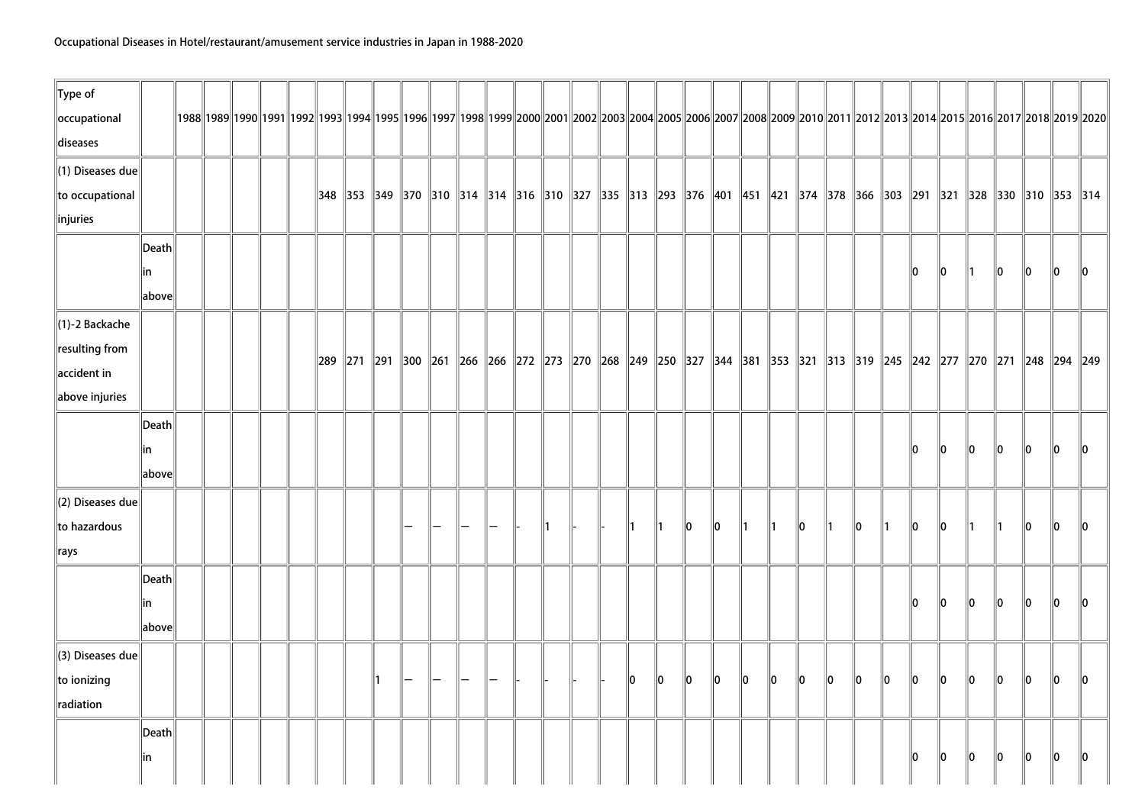| $\ $ Type of                 |                 |  |  |  |    |  |  |                |  |               |               |         |             |               |               |         |               |         |               |         |         |               |               |                                                                                                                                                                                          |         |                 |
|------------------------------|-----------------|--|--|--|----|--|--|----------------|--|---------------|---------------|---------|-------------|---------------|---------------|---------|---------------|---------|---------------|---------|---------|---------------|---------------|------------------------------------------------------------------------------------------------------------------------------------------------------------------------------------------|---------|-----------------|
| occupational                 |                 |  |  |  |    |  |  |                |  |               |               |         |             |               |               |         |               |         |               |         |         |               |               | 1992  1992  1992  1992  1993  1994  1995  1996  1997  1998  1999  2000  2001  2002  2003  2004  2005  2006  2007  2008  2009  2010  2011  2012  2013  2014  2015  2016  2017  2018  2019 |         |                 |
| diseases                     |                 |  |  |  |    |  |  |                |  |               |               |         |             |               |               |         |               |         |               |         |         |               |               |                                                                                                                                                                                          |         |                 |
| $\ $ (1) Diseases due        |                 |  |  |  |    |  |  |                |  |               |               |         |             |               |               |         |               |         |               |         |         |               |               |                                                                                                                                                                                          |         |                 |
| to occupational              |                 |  |  |  |    |  |  |                |  |               |               |         |             |               |               |         |               |         |               |         |         |               |               | 318   328   329   320   310   314   316   310   327   335   313   293   376   401   451   421   374   378   366   303   291   321   328   330   310   353   314                          |         |                 |
| $\ $ injuries                |                 |  |  |  |    |  |  |                |  |               |               |         |             |               |               |         |               |         |               |         |         |               |               |                                                                                                                                                                                          |         |                 |
|                              | $\ $ Death $\ $ |  |  |  |    |  |  |                |  |               |               |         |             |               |               |         |               |         |               |         |         |               |               |                                                                                                                                                                                          |         |                 |
|                              | ∥in             |  |  |  |    |  |  |                |  |               |               |         |             |               |               |         |               |         |               | 10      | 10      | $\parallel$ 1 | $\ 0\ $       | $\ 0\ $                                                                                                                                                                                  | 10      | 10              |
|                              | above           |  |  |  |    |  |  |                |  |               |               |         |             |               |               |         |               |         |               |         |         |               |               |                                                                                                                                                                                          |         |                 |
| $\ $ (1)-2 Backache          |                 |  |  |  |    |  |  |                |  |               |               |         |             |               |               |         |               |         |               |         |         |               |               |                                                                                                                                                                                          |         |                 |
| $\ $ resulting from          |                 |  |  |  |    |  |  |                |  |               |               |         |             |               |               |         |               |         |               |         |         |               |               |                                                                                                                                                                                          |         |                 |
| $\parallel$ accident in      |                 |  |  |  |    |  |  |                |  |               |               |         |             |               |               |         |               |         |               |         |         |               |               | 289   271   291   300   261   266   266   272   273   270   268   249   250   327   344   381   353   321   313   319   245   242   277   270   271   248   294   249                    |         |                 |
| above injuries               |                 |  |  |  |    |  |  |                |  |               |               |         |             |               |               |         |               |         |               |         |         |               |               |                                                                                                                                                                                          |         |                 |
|                              | $\ $ Death $\ $ |  |  |  |    |  |  |                |  |               |               |         |             |               |               |         |               |         |               |         |         |               |               |                                                                                                                                                                                          |         |                 |
|                              | lin             |  |  |  |    |  |  |                |  |               |               |         |             |               |               |         |               |         |               | llo.    | llo.    | $\mathbf{0}$  | llo.          | $\mathbf{0}$                                                                                                                                                                             | llo.    | llo.            |
|                              | above           |  |  |  |    |  |  |                |  |               |               |         |             |               |               |         |               |         |               |         |         |               |               |                                                                                                                                                                                          |         |                 |
| $\parallel$ (2) Diseases due |                 |  |  |  |    |  |  |                |  |               |               |         |             |               |               |         |               |         |               |         |         |               |               |                                                                                                                                                                                          |         |                 |
| to hazardous                 |                 |  |  |  |    |  |  | $\mathsf{I}$ 1 |  | $\parallel$ 1 | $\parallel$ 1 | 10      | $ 0\rangle$ | $\parallel$ 1 | $\parallel$ 1 | 10      | $\parallel$ 1 | 10      | $\parallel$ 1 | 10      | 10      | $\parallel$ 1 | $\parallel$ 1 | 10                                                                                                                                                                                       | 10      | $\parallel$ 0   |
| $\ $ rays                    |                 |  |  |  |    |  |  |                |  |               |               |         |             |               |               |         |               |         |               |         |         |               |               |                                                                                                                                                                                          |         |                 |
|                              | Death           |  |  |  |    |  |  |                |  |               |               |         |             |               |               |         |               |         |               |         |         |               |               |                                                                                                                                                                                          |         |                 |
|                              | ∥in             |  |  |  |    |  |  |                |  |               |               |         |             |               |               |         |               |         |               | 10      | $\ 0\ $ | $\ 0\ $       | $\ 0\ $       | $\ 0\ $                                                                                                                                                                                  | $\ 0\ $ | $\parallel$ 0   |
|                              | above           |  |  |  |    |  |  |                |  |               |               |         |             |               |               |         |               |         |               |         |         |               |               |                                                                                                                                                                                          |         |                 |
| $\parallel$ (3) Diseases due |                 |  |  |  |    |  |  |                |  |               |               |         |             |               |               |         |               |         |               |         |         |               |               |                                                                                                                                                                                          |         |                 |
| $\ $ to ionizing             |                 |  |  |  | ∥1 |  |  |                |  | 10            | $\ 0\ $       | $\ 0\ $ | $\ 0\ $     | $ 0\rangle$   | $\ 0\ $       | $\ 0\ $ | $\ 0\ $       | $\ 0\ $ | $\ _0$        | $\ 0\ $ | $\ _0$  | $\ 0\ $       | $\ 0\ $       | $\ 0\ $                                                                                                                                                                                  | $\ 0\ $ | $\mathsf{I}$ lo |
| radiation                    |                 |  |  |  |    |  |  |                |  |               |               |         |             |               |               |         |               |         |               |         |         |               |               |                                                                                                                                                                                          |         |                 |
|                              | Death           |  |  |  |    |  |  |                |  |               |               |         |             |               |               |         |               |         |               |         |         |               |               |                                                                                                                                                                                          |         |                 |
|                              | ∥in             |  |  |  |    |  |  |                |  |               |               |         |             |               |               |         |               |         |               | 10      | 10      | 10            | 10            | 10                                                                                                                                                                                       | 10      | $\ 0\ $         |
|                              |                 |  |  |  |    |  |  |                |  |               |               |         |             |               |               |         |               |         |               |         |         |               |               |                                                                                                                                                                                          |         |                 |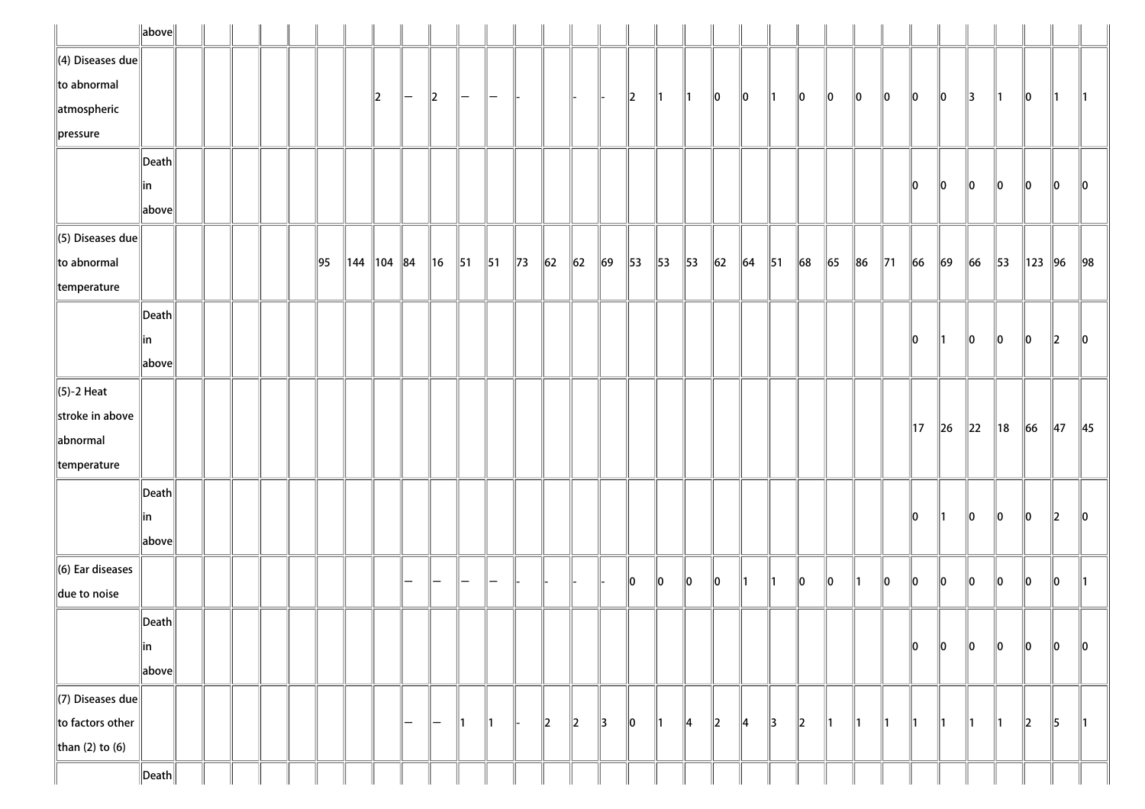|                              | $\ $ above $\ $       |  |  |                |                                                |         |   |                   |                |                |                |          |                          |               |               |                |               |               |            |                |        |         |    |                |                |          |          |                |          |             |                |
|------------------------------|-----------------------|--|--|----------------|------------------------------------------------|---------|---|-------------------|----------------|----------------|----------------|----------|--------------------------|---------------|---------------|----------------|---------------|---------------|------------|----------------|--------|---------|----|----------------|----------------|----------|----------|----------------|----------|-------------|----------------|
| $\ $ (4) Diseases due        |                       |  |  |                |                                                |         |   |                   |                |                |                |          |                          |               |               |                |               |               |            |                |        |         |    |                |                |          |          |                |          |             |                |
| $\ $ to abnormal             |                       |  |  |                |                                                | $\ 2\ $ | - | $\ 2\ $           | $\mathsf{l}-$  | Ξ.             |                |          |                          |               | $\ 2\ $       | ∥1             | $\parallel$ 1 | 10            | 10         | ∥1             | 10     | 10      | 10 | 10             | 10             | 10       | 3        | 11             | 10       | 11.         | $\parallel$ 1  |
| atmospheric                  |                       |  |  |                |                                                |         |   |                   |                |                |                |          |                          |               |               |                |               |               |            |                |        |         |    |                |                |          |          |                |          |             |                |
| $\ $ pressure                |                       |  |  |                |                                                |         |   |                   |                |                |                |          |                          |               |               |                |               |               |            |                |        |         |    |                |                |          |          |                |          |             |                |
|                              | $ \mathsf{Death} $    |  |  |                |                                                |         |   |                   |                |                |                |          |                          |               |               |                |               |               |            |                |        |         |    |                |                |          |          |                |          |             |                |
|                              | in                    |  |  |                |                                                |         |   |                   |                |                |                |          |                          |               |               |                |               |               |            |                |        |         |    |                | 10             | 10       | 10       | 10             | 10       | 10          | 10             |
|                              | above                 |  |  |                |                                                |         |   |                   |                |                |                |          |                          |               |               |                |               |               |            |                |        |         |    |                |                |          |          |                |          |             |                |
| $\ $ (5) Diseases due        |                       |  |  |                |                                                |         |   |                   |                |                |                |          |                          |               |               |                |               |               |            |                |        |         |    |                |                |          |          |                |          |             |                |
| to abnormal                  |                       |  |  | $\parallel$ 95 | $\parallel$ 144 $\parallel$ 104 $\parallel$ 84 |         |   | $\parallel$ 16    | $\parallel$ 51 | $\parallel$ 51 | $\parallel$ 73 | $\ 62\ $ | $\ 62\ $                 | $\vert$ 69    | 53            | $\parallel$ 53 | 53            | $\vert$ 62    | $\vert$ 64 | $\parallel$ 51 | $\ 68$ | $\ $ 65 | 86 | $\parallel$ 71 | 66             | $\ 69\ $ | $\ 66\ $ | $\parallel$ 53 | 123   96 |             | $\parallel$ 98 |
| $\parallel$ temperature      |                       |  |  |                |                                                |         |   |                   |                |                |                |          |                          |               |               |                |               |               |            |                |        |         |    |                |                |          |          |                |          |             |                |
|                              | $\vert$ Death $\vert$ |  |  |                |                                                |         |   |                   |                |                |                |          |                          |               |               |                |               |               |            |                |        |         |    |                |                |          |          |                |          |             |                |
|                              | in                    |  |  |                |                                                |         |   |                   |                |                |                |          |                          |               |               |                |               |               |            |                |        |         |    |                | 10             |          | 10       | 10             | 10       | $ 2\rangle$ | 10             |
|                              | above                 |  |  |                |                                                |         |   |                   |                |                |                |          |                          |               |               |                |               |               |            |                |        |         |    |                |                |          |          |                |          |             |                |
| $\ $ (5)-2 Heat              |                       |  |  |                |                                                |         |   |                   |                |                |                |          |                          |               |               |                |               |               |            |                |        |         |    |                |                |          |          |                |          |             |                |
| stroke in above              |                       |  |  |                |                                                |         |   |                   |                |                |                |          |                          |               |               |                |               |               |            |                |        |         |    |                | $\parallel$ 17 | $\ $ 26  | $\ 22\ $ | ∥18            | 66       | 47          | $\parallel$ 45 |
| abnormal                     |                       |  |  |                |                                                |         |   |                   |                |                |                |          |                          |               |               |                |               |               |            |                |        |         |    |                |                |          |          |                |          |             |                |
| $\parallel$ temperature      |                       |  |  |                |                                                |         |   |                   |                |                |                |          |                          |               |               |                |               |               |            |                |        |         |    |                |                |          |          |                |          |             |                |
|                              | $\vert$ Death $\vert$ |  |  |                |                                                |         |   |                   |                |                |                |          |                          |               |               |                |               |               |            |                |        |         |    |                |                |          |          |                |          |             |                |
|                              | in                    |  |  |                |                                                |         |   |                   |                |                |                |          |                          |               |               |                |               |               |            |                |        |         |    |                | 10             | ∥1       | 10       | 10             | 10       | 12          | 10             |
|                              | above                 |  |  |                |                                                |         |   |                   |                |                |                |          |                          |               |               |                |               |               |            |                |        |         |    |                |                |          |          |                |          |             |                |
| $\parallel$ (6) Ear diseases |                       |  |  |                |                                                |         |   |                   |                | -              |                |          |                          |               | 10            | 10             | $\ 0\ $       | 10            | ∥1         | 11             | 10     | llo     |    | llo            | llo            | ∥o       | $\ 0\ $  | 10             | 10       | 10          | ∥1             |
| due to noise                 |                       |  |  |                |                                                |         |   |                   |                |                |                |          |                          |               |               |                |               |               |            |                |        |         |    |                |                |          |          |                |          |             |                |
|                              | $\ $ Death $\ $       |  |  |                |                                                |         |   |                   |                |                |                |          |                          |               |               |                |               |               |            |                |        |         |    |                |                |          |          |                |          |             |                |
|                              | ∥in                   |  |  |                |                                                |         |   |                   |                |                |                |          |                          |               |               |                |               |               |            |                |        |         |    |                | 10             | ∥o       | $\ 0\ $  | 10             | 10       | 10          | 10             |
|                              | above                 |  |  |                |                                                |         |   |                   |                |                |                |          |                          |               |               |                |               |               |            |                |        |         |    |                |                |          |          |                |          |             |                |
| $\Vert$ (7) Diseases due     |                       |  |  |                |                                                |         |   |                   |                |                |                |          |                          |               |               |                |               |               |            |                |        |         |    |                |                |          |          |                |          |             |                |
| $\ $ to factors other        |                       |  |  |                |                                                |         | - | $\qquad \qquad -$ | ∥1             | 11             |                | $\ 2\ $  | $\parallel$ <sub>2</sub> | $\parallel$ 3 | $\parallel$ 0 | $\parallel$ 1  | 4             | $\parallel$ 2 | 14         | 3              | 2      | ∥1      | ∥1 | ∥1             | ∥1             | 11       | ∥1       | 11             | 2        | 5           | $\parallel$ 1  |
| than (2) to (6)              |                       |  |  |                |                                                |         |   |                   |                |                |                |          |                          |               |               |                |               |               |            |                |        |         |    |                |                |          |          |                |          |             |                |
|                              | $\ $ Death $\ $       |  |  |                |                                                |         |   |                   |                |                |                |          |                          |               |               |                |               |               |            |                |        |         |    |                |                |          |          |                |          |             |                |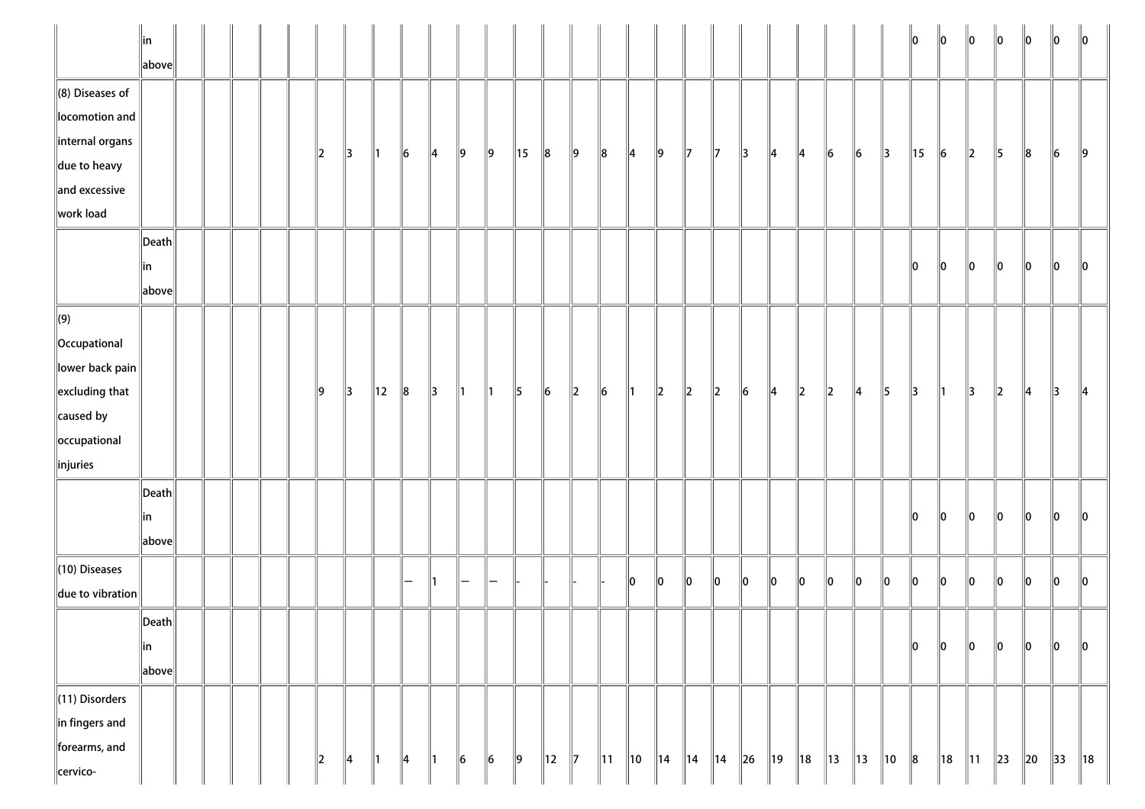|                                        | $\ $ in<br>above      |  |  |               |               |                |               |               |               |               |                |                |               |                |                |           |                |                |           |               |         |         |       |               | 10      | 10      | $\ 0\ $        | $\ 0\ $  | $\ 0\ $       | 10             | $\mathsf{I}$ 10 |
|----------------------------------------|-----------------------|--|--|---------------|---------------|----------------|---------------|---------------|---------------|---------------|----------------|----------------|---------------|----------------|----------------|-----------|----------------|----------------|-----------|---------------|---------|---------|-------|---------------|---------|---------|----------------|----------|---------------|----------------|-----------------|
| $\ $ (8) Diseases of<br>locomotion and |                       |  |  |               |               |                |               |               |               |               |                |                |               |                |                |           |                |                |           |               |         |         |       |               |         |         |                |          |               |                |                 |
| internal organs                        |                       |  |  | $\parallel$ 2 | 13            | ∥1             | 6             | $\parallel$ 4 | ∥9            | ∥9            | $\parallel$ 15 | 8              | $\parallel$ 9 | 8              | 14             | ∥9        | 17             | 17             | 13        | 14            | 14      | $\ 6$   | $\ 6$ | $\parallel$ 3 | 15      | 6       | $\ 2\ $        | 5        | $\ 8$         | $\ 6$          | $\ 9$           |
| $\ $ due to heavy<br>and excessive     |                       |  |  |               |               |                |               |               |               |               |                |                |               |                |                |           |                |                |           |               |         |         |       |               |         |         |                |          |               |                |                 |
| work load                              |                       |  |  |               |               |                |               |               |               |               |                |                |               |                |                |           |                |                |           |               |         |         |       |               |         |         |                |          |               |                |                 |
|                                        | $\vert$ Death $\vert$ |  |  |               |               |                |               |               |               |               |                |                |               |                |                |           |                |                |           |               |         |         |       |               |         |         |                |          |               |                |                 |
|                                        | ∥in                   |  |  |               |               |                |               |               |               |               |                |                |               |                |                |           |                |                |           |               |         |         |       |               | 10      | 10      | $\ 0\ $        | $\ 0\ $  | $\ 0\ $       | $\ 0\ $        | 10              |
|                                        | above                 |  |  |               |               |                |               |               |               |               |                |                |               |                |                |           |                |                |           |               |         |         |       |               |         |         |                |          |               |                |                 |
| $\left\  (9) \right\ $                 |                       |  |  |               |               |                |               |               |               |               |                |                |               |                |                |           |                |                |           |               |         |         |       |               |         |         |                |          |               |                |                 |
| Occupational                           |                       |  |  |               |               |                |               |               |               |               |                |                |               |                |                |           |                |                |           |               |         |         |       |               |         |         |                |          |               |                |                 |
| lower back pain                        |                       |  |  |               |               |                |               |               |               |               |                |                |               |                |                |           |                |                |           |               |         |         |       |               |         |         |                |          |               |                |                 |
| $\left\ $ excluding that               |                       |  |  | ∥9            | $\parallel$ 3 | $\parallel$ 12 | $\ 8$         | $\parallel$ 3 | $\parallel$ 1 | $\parallel$ 1 | $\parallel$ 5  | $\vert$ 6      | $\ 2\ $       | $\vert$ 6      | $\parallel$ 1  | $\vert$ 2 | $\vert$ 2      | $\ 2\ $        | $\vert$ 6 | $\parallel$ 4 | $\ 2\ $ | $\ 2\ $ | 4     | $\parallel$ 5 | 13      | ∥1      | 13             | $\ 2\ $  | $\parallel$ 4 | 13             | $\parallel$ 4   |
| $\ $ caused by                         |                       |  |  |               |               |                |               |               |               |               |                |                |               |                |                |           |                |                |           |               |         |         |       |               |         |         |                |          |               |                |                 |
| occupational                           |                       |  |  |               |               |                |               |               |               |               |                |                |               |                |                |           |                |                |           |               |         |         |       |               |         |         |                |          |               |                |                 |
| $\ $ injuries                          |                       |  |  |               |               |                |               |               |               |               |                |                |               |                |                |           |                |                |           |               |         |         |       |               |         |         |                |          |               |                |                 |
|                                        | $\vert$ Death $\vert$ |  |  |               |               |                |               |               |               |               |                |                |               |                |                |           |                |                |           |               |         |         |       |               |         |         |                |          |               |                |                 |
|                                        | ∥in                   |  |  |               |               |                |               |               |               |               |                |                |               |                |                |           |                |                |           |               |         |         |       |               | 10      | 10      | lo.            | llo.     | llo.          | 10             | 10              |
|                                        | above                 |  |  |               |               |                |               |               |               |               |                |                |               |                |                |           |                |                |           |               |         |         |       |               |         |         |                |          |               |                |                 |
| $\ $ (10) Diseases                     |                       |  |  |               |               |                |               |               |               |               |                |                |               |                |                |           |                | ∥o             | 10        | ∥o            | 10      | 10      | 10    | 10            | $\ 0\ $ | 10      | $\ _0$         | $\ _0$   | $\ _0$        | $\ _0$         | $\ 0\ $         |
| $\ $ due to vibration                  |                       |  |  |               |               |                | —             | 11.           | -             | —             |                |                |               |                | 10             | 10        | 10             |                |           |               |         |         |       |               |         |         |                |          |               |                |                 |
|                                        | $\ $ Death $\ $       |  |  |               |               |                |               |               |               |               |                |                |               |                |                |           |                |                |           |               |         |         |       |               |         |         |                |          |               |                |                 |
|                                        | ∥in                   |  |  |               |               |                |               |               |               |               |                |                |               |                |                |           |                |                |           |               |         |         |       |               | $\ 0\ $ | $\ 0\ $ | $\ 0\ $        | $\ 0\ $  | $\ _0$        | $\ 0\ $        | $\ 0\ $         |
|                                        | above                 |  |  |               |               |                |               |               |               |               |                |                |               |                |                |           |                |                |           |               |         |         |       |               |         |         |                |          |               |                |                 |
| $\ $ (11) Disorders                    |                       |  |  |               |               |                |               |               |               |               |                |                |               |                |                |           |                |                |           |               |         |         |       |               |         |         |                |          |               |                |                 |
| $\ $ in fingers and                    |                       |  |  |               |               |                |               |               |               |               |                |                |               |                |                |           |                |                |           |               |         |         |       |               |         |         |                |          |               |                |                 |
| forearms, and                          |                       |  |  |               |               |                |               |               | $\ 6\ $       |               |                |                | $\parallel$ 7 |                |                |           |                |                |           | ∥19           |         |         |       | ∥10           |         | ∥18     |                |          |               |                | $\parallel$ 18  |
| cervico-                               |                       |  |  | $\parallel$ 2 | $\parallel$ 4 | $\parallel$ 1  | $\parallel$ 4 | $\parallel$ 1 |               | $\ 6$         | $\parallel$ 9  | $\parallel$ 12 |               | $\parallel$ 11 | $\parallel$ 10 | ∥14       | $\parallel$ 14 | $\parallel$ 14 | $\ 26$    |               | ∥18     | ∥13     | 13    |               | $\ 8$   |         | $\parallel$ 11 | $\ 23\ $ | $\ 20$        | $\parallel$ 33 |                 |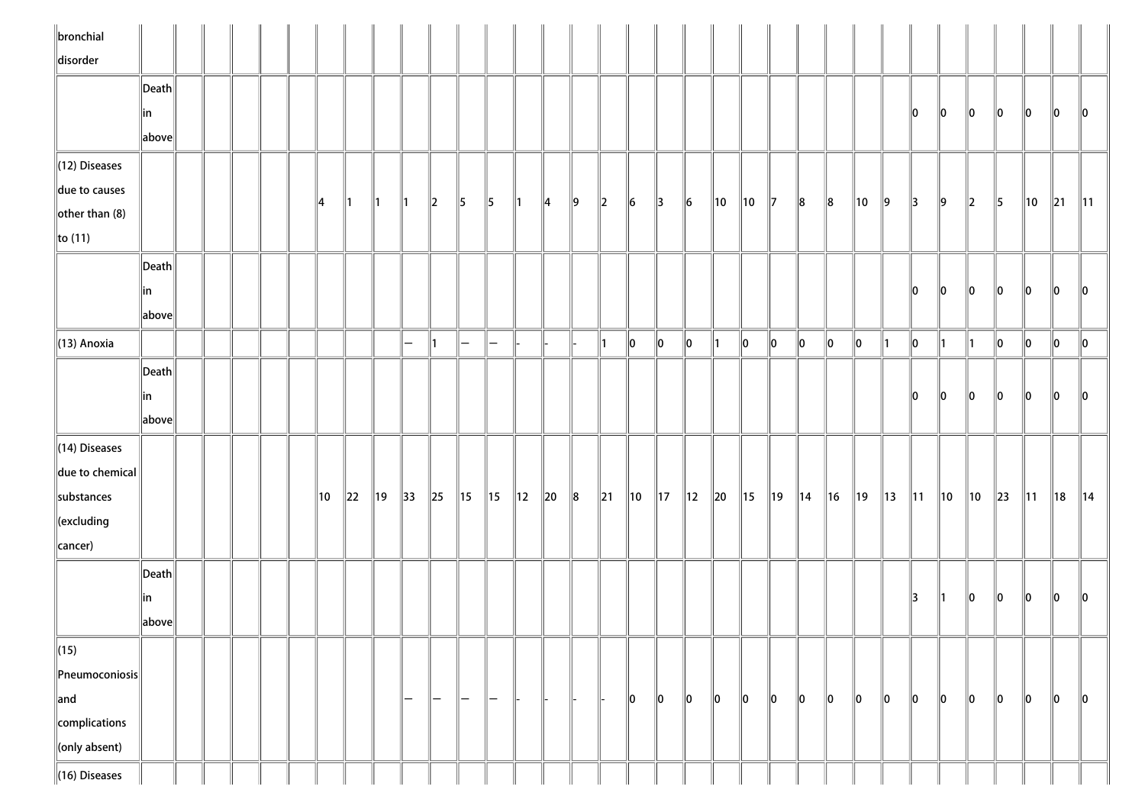| $\parallel$ bronchial       |                                        |  |  |     |          |               |                   |                   |                    |                          |                |          |         |                          |                |                |                |                |                |                |                |                |         |                |                |                |                |          |                |         |                 |
|-----------------------------|----------------------------------------|--|--|-----|----------|---------------|-------------------|-------------------|--------------------|--------------------------|----------------|----------|---------|--------------------------|----------------|----------------|----------------|----------------|----------------|----------------|----------------|----------------|---------|----------------|----------------|----------------|----------------|----------|----------------|---------|-----------------|
| disorder                    |                                        |  |  |     |          |               |                   |                   |                    |                          |                |          |         |                          |                |                |                |                |                |                |                |                |         |                |                |                |                |          |                |         |                 |
|                             | $\left\Vert \mathsf{Death}\right\Vert$ |  |  |     |          |               |                   |                   |                    |                          |                |          |         |                          |                |                |                |                |                |                |                |                |         |                |                |                |                |          |                |         |                 |
|                             | in                                     |  |  |     |          |               |                   |                   |                    |                          |                |          |         |                          |                |                |                |                |                |                |                |                |         |                | 10             | 10             | 10             | 10       | 10             | 10      | $\mathsf{I}$ lo |
|                             | above                                  |  |  |     |          |               |                   |                   |                    |                          |                |          |         |                          |                |                |                |                |                |                |                |                |         |                |                |                |                |          |                |         |                 |
| (12) Diseases               |                                        |  |  |     |          |               |                   |                   |                    |                          |                |          |         |                          |                |                |                |                |                |                |                |                |         |                |                |                |                |          |                |         |                 |
| due to causes               |                                        |  |  | 14  | ∥1       | $\parallel$ 1 | ∥1                | $\parallel$ 2     | 15                 | $\parallel$ 5            | ∥1             | ∥4       | $\ 9\ $ | $\parallel$ <sub>2</sub> | $\vert$ 6      | $\parallel$ 3  | $\ 6\ $        | $\parallel$ 10 | $\parallel$ 10 | $\parallel$ 7  | $\ 8$          | $\ 8$          | 10      | ∥9             | 13             | ∥9             | $\ 2\ $        | 5        | 10             | $\ 21$  | $\parallel$ 11  |
| $\left\Vert$ other than (8) |                                        |  |  |     |          |               |                   |                   |                    |                          |                |          |         |                          |                |                |                |                |                |                |                |                |         |                |                |                |                |          |                |         |                 |
| $\ $ to (11)                |                                        |  |  |     |          |               |                   |                   |                    |                          |                |          |         |                          |                |                |                |                |                |                |                |                |         |                |                |                |                |          |                |         |                 |
|                             | $\vert$ Death $\vert$                  |  |  |     |          |               |                   |                   |                    |                          |                |          |         |                          |                |                |                |                |                |                |                |                |         |                |                |                |                |          |                |         |                 |
|                             | in.                                    |  |  |     |          |               |                   |                   |                    |                          |                |          |         |                          |                |                |                |                |                |                |                |                |         |                | 10             | 10             | 10             | 10       | 10             | 10      | 10              |
|                             | above                                  |  |  |     |          |               |                   |                   |                    |                          |                |          |         |                          |                |                |                |                |                |                |                |                |         |                |                |                |                |          |                |         |                 |
| $\ $ (13) Anoxia            |                                        |  |  |     |          |               | $\overline{}$     | ∥1                | $\left  - \right $ | $\overline{\phantom{a}}$ |                |          |         | ∥1                       | $\ 0\ $        | $\ 0\ $        | $\ 0\ $        | $\parallel$ 1  | $\ 0\ $        | $\ 0\ $        | $ 0\rangle$    | $\ 0\ $        | $\ 0\ $ | 11             | $\ 0\ $        | 11             | ∥1∶            | $\ 0\ $  | $\ 0\ $        | $\ 0\ $ | $\ 0\ $         |
|                             | Death                                  |  |  |     |          |               |                   |                   |                    |                          |                |          |         |                          |                |                |                |                |                |                |                |                |         |                |                |                |                |          |                |         |                 |
|                             | in                                     |  |  |     |          |               |                   |                   |                    |                          |                |          |         |                          |                |                |                |                |                |                |                |                |         |                | llo.           | 10             | 10             | 10       | 10             | llo     | llo             |
|                             | above                                  |  |  |     |          |               |                   |                   |                    |                          |                |          |         |                          |                |                |                |                |                |                |                |                |         |                |                |                |                |          |                |         |                 |
| $\ $ (14) Diseases          |                                        |  |  |     |          |               |                   |                   |                    |                          |                |          |         |                          |                |                |                |                |                |                |                |                |         |                |                |                |                |          |                |         |                 |
| due to chemical             |                                        |  |  |     |          |               |                   |                   |                    |                          |                |          |         |                          |                |                |                |                |                |                |                |                |         |                |                |                |                |          |                |         |                 |
| substances                  |                                        |  |  | ∥10 | $\ 22\ $ | ∥19           | $\parallel$ 33    | $\ 25\ $          | $\parallel$ 15     | $\parallel$ 15           | $\parallel$ 12 | $\ 20\ $ | $\ 8$   | $\ 21\ $                 | $\parallel$ 10 | $\parallel$ 17 | $\parallel$ 12 | $\ 20\ $       | $\parallel$ 15 | $\parallel$ 19 | $\parallel$ 14 | $\parallel$ 16 | 19      | $\parallel$ 13 | $\parallel$ 11 | $\parallel$ 10 | $\parallel$ 10 | $\ 23\ $ | $\parallel$ 11 | ∥18     | $\parallel$ 14  |
| $\parallel$ (excluding      |                                        |  |  |     |          |               |                   |                   |                    |                          |                |          |         |                          |                |                |                |                |                |                |                |                |         |                |                |                |                |          |                |         |                 |
| $\ $ cancer)                |                                        |  |  |     |          |               |                   |                   |                    |                          |                |          |         |                          |                |                |                |                |                |                |                |                |         |                |                |                |                |          |                |         |                 |
|                             | Death                                  |  |  |     |          |               |                   |                   |                    |                          |                |          |         |                          |                |                |                |                |                |                |                |                |         |                |                |                |                |          |                |         |                 |
|                             | in                                     |  |  |     |          |               |                   |                   |                    |                          |                |          |         |                          |                |                |                |                |                |                |                |                |         |                | 13             | ∥1             | 10             | 10       | 10             | llo     | llo             |
|                             | above                                  |  |  |     |          |               |                   |                   |                    |                          |                |          |         |                          |                |                |                |                |                |                |                |                |         |                |                |                |                |          |                |         |                 |
| $\ $ (15)                   |                                        |  |  |     |          |               |                   |                   |                    |                          |                |          |         |                          |                |                |                |                |                |                |                |                |         |                |                |                |                |          |                |         |                 |
| $\ $ Pneumoconiosis $\ $    |                                        |  |  |     |          |               |                   |                   |                    |                          |                |          |         |                          |                |                |                |                |                |                |                |                |         |                |                |                |                |          |                |         |                 |
| $\parallel$ and             |                                        |  |  |     |          |               | $\qquad \qquad -$ | $\qquad \qquad -$ | —                  | -                        |                |          |         |                          | $\ 0\ $        | $\ 0\ $        | $\ 0\ $        | $\ 0\ $        | $\ 0\ $        | $\ 0\ $        | $ 0\rangle$    | 10             | 10      | 10             | 10             | 10             | 10             | 10       | 10             | 10      | $\ 0\ $         |
| complications               |                                        |  |  |     |          |               |                   |                   |                    |                          |                |          |         |                          |                |                |                |                |                |                |                |                |         |                |                |                |                |          |                |         |                 |
| (only absent)               |                                        |  |  |     |          |               |                   |                   |                    |                          |                |          |         |                          |                |                |                |                |                |                |                |                |         |                |                |                |                |          |                |         |                 |
| $\ $ (16) Diseases          |                                        |  |  |     |          |               |                   |                   |                    |                          |                |          |         |                          |                |                |                |                |                |                |                |                |         |                |                |                |                |          |                |         |                 |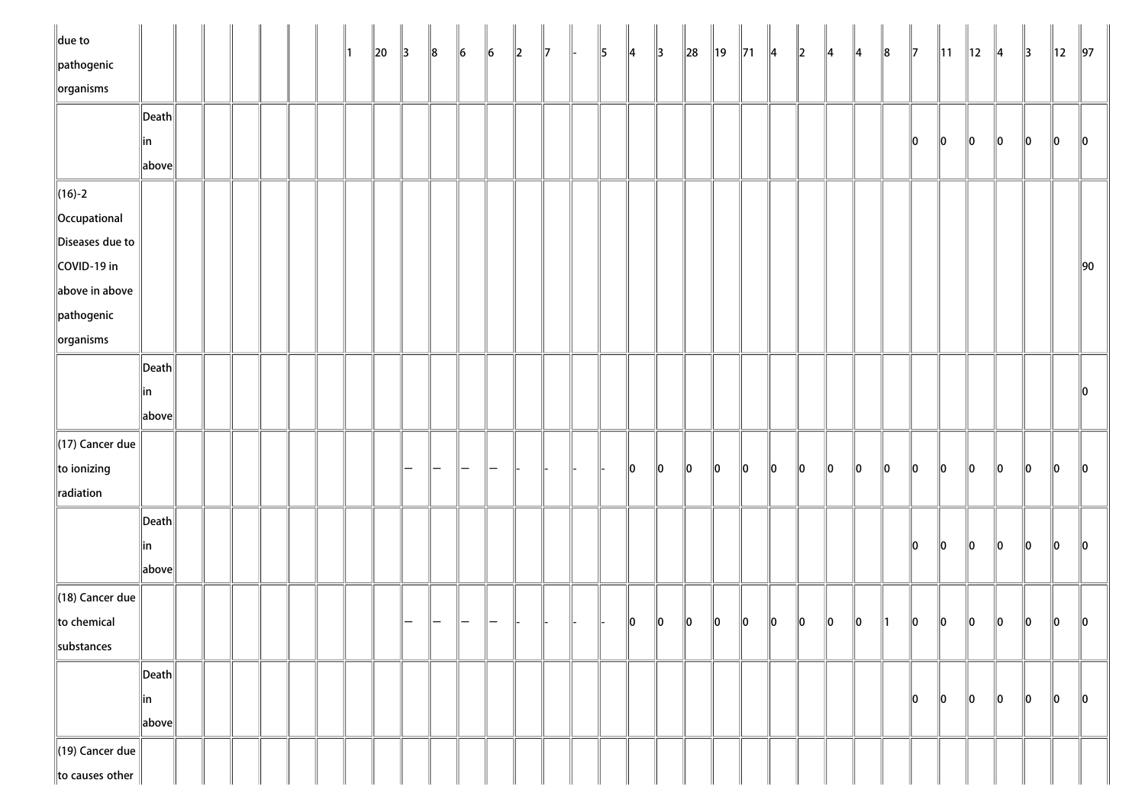| $\ $ due to<br>$\ $ pathogenic |                                        |  |  |  | ∥1 | $\ 20\ $ | $\parallel$ 3 | $\ 8$ | $\ 6\ $ | $\ 6\ $ | $\ 2\ $ | $\parallel$ 7 | $\parallel$ 5 | $\parallel$ 4 | $\parallel$ 3 | $\ 28\ $    | ∥19     | $\parallel$ 71 | ∥4      | $\ 2\ $ | ∥4      | $\parallel$ 4 | ∥8      | $\parallel$ 7 | $\parallel$ 11 | $\parallel$ 12 | $\parallel$ 4 | $\parallel$ 3 | ∥12           | $\parallel$ 97 |
|--------------------------------|----------------------------------------|--|--|--|----|----------|---------------|-------|---------|---------|---------|---------------|---------------|---------------|---------------|-------------|---------|----------------|---------|---------|---------|---------------|---------|---------------|----------------|----------------|---------------|---------------|---------------|----------------|
| $\left\Vert$ organisms         |                                        |  |  |  |    |          |               |       |         |         |         |               |               |               |               |             |         |                |         |         |         |               |         |               |                |                |               |               |               |                |
|                                | $\left\Vert \mathsf{Death}\right\Vert$ |  |  |  |    |          |               |       |         |         |         |               |               |               |               |             |         |                |         |         |         |               |         |               |                |                |               |               |               |                |
|                                | in<br>$\ $ above $\ $                  |  |  |  |    |          |               |       |         |         |         |               |               |               |               |             |         |                |         |         |         |               |         | 10            | 10             | 10             | $\ 0\ $       | 10            | $\parallel$ 0 | 10             |
| $\ $ (16)-2                    |                                        |  |  |  |    |          |               |       |         |         |         |               |               |               |               |             |         |                |         |         |         |               |         |               |                |                |               |               |               |                |
| Occupational                   |                                        |  |  |  |    |          |               |       |         |         |         |               |               |               |               |             |         |                |         |         |         |               |         |               |                |                |               |               |               |                |
| Diseases due to                |                                        |  |  |  |    |          |               |       |         |         |         |               |               |               |               |             |         |                |         |         |         |               |         |               |                |                |               |               |               |                |
| COVID-19 in                    |                                        |  |  |  |    |          |               |       |         |         |         |               |               |               |               |             |         |                |         |         |         |               |         |               |                |                |               |               |               | $\parallel$ 90 |
| above in above                 |                                        |  |  |  |    |          |               |       |         |         |         |               |               |               |               |             |         |                |         |         |         |               |         |               |                |                |               |               |               |                |
| $\ $ pathogenic                |                                        |  |  |  |    |          |               |       |         |         |         |               |               |               |               |             |         |                |         |         |         |               |         |               |                |                |               |               |               |                |
| $\left\Vert$ organisms         |                                        |  |  |  |    |          |               |       |         |         |         |               |               |               |               |             |         |                |         |         |         |               |         |               |                |                |               |               |               |                |
|                                | $\left\Vert \mathsf{Death}\right\Vert$ |  |  |  |    |          |               |       |         |         |         |               |               |               |               |             |         |                |         |         |         |               |         |               |                |                |               |               |               |                |
|                                | in                                     |  |  |  |    |          |               |       |         |         |         |               |               |               |               |             |         |                |         |         |         |               |         |               |                |                |               |               |               | 10             |
|                                | $\ $ above $\ $                        |  |  |  |    |          |               |       |         |         |         |               |               |               |               |             |         |                |         |         |         |               |         |               |                |                |               |               |               |                |
| $\parallel$ (17) Cancer due    |                                        |  |  |  |    |          |               |       |         |         |         |               |               |               |               |             |         |                |         |         |         |               |         |               |                |                |               |               |               |                |
| $\ $ to ionizing               |                                        |  |  |  |    |          |               |       |         |         |         |               |               | 10            | $ 0\rangle$   | $\ 0\ $     | $\ 0\ $ | $\ 0\ $        | $\ 0\ $ | 10      | $\ 0\ $ | 10            | $\ 0\ $ | 10            | 10             | 10             | 10            | $\ 0\ $       | llo           | 10             |
| radiation                      |                                        |  |  |  |    |          |               |       |         |         |         |               |               |               |               |             |         |                |         |         |         |               |         |               |                |                |               |               |               |                |
|                                | $\vert$ Death $\vert$                  |  |  |  |    |          |               |       |         |         |         |               |               |               |               |             |         |                |         |         |         |               |         |               |                |                |               |               |               |                |
|                                | in                                     |  |  |  |    |          |               |       |         |         |         |               |               |               |               |             |         |                |         |         |         |               |         | llo.          | 10             | 10             | llo           | 10            | 10            | 10             |
|                                | above                                  |  |  |  |    |          |               |       |         |         |         |               |               |               |               |             |         |                |         |         |         |               |         |               |                |                |               |               |               |                |
| $\parallel$ (18) Cancer due    |                                        |  |  |  |    |          |               |       |         |         |         |               |               |               |               |             |         |                |         |         |         |               |         |               |                |                |               |               |               |                |
| to chemical                    |                                        |  |  |  |    |          |               |       |         |         |         |               |               | $\ 0\ $       | $\ 0\ $       | $ 0\rangle$ | $\ 0\ $ | 10             | 10      | 10      | 10      | 10            |         | 10            | 10             | 10             | 10            | 10            | $\ 0\ $       | 10             |
| substances                     |                                        |  |  |  |    |          |               |       |         |         |         |               |               |               |               |             |         |                |         |         |         |               |         |               |                |                |               |               |               |                |
|                                | Death                                  |  |  |  |    |          |               |       |         |         |         |               |               |               |               |             |         |                |         |         |         |               |         |               |                |                |               |               |               |                |
|                                | in                                     |  |  |  |    |          |               |       |         |         |         |               |               |               |               |             |         |                |         |         |         |               |         | 10            | 10             | 10             | 10            | $\ 0\ $       | 10            | $\ 0\ $        |
|                                | above                                  |  |  |  |    |          |               |       |         |         |         |               |               |               |               |             |         |                |         |         |         |               |         |               |                |                |               |               |               |                |
| $\parallel$ (19) Cancer due    |                                        |  |  |  |    |          |               |       |         |         |         |               |               |               |               |             |         |                |         |         |         |               |         |               |                |                |               |               |               |                |
| to causes other                |                                        |  |  |  |    |          |               |       |         |         |         |               |               |               |               |             |         |                |         |         |         |               |         |               |                |                |               |               |               |                |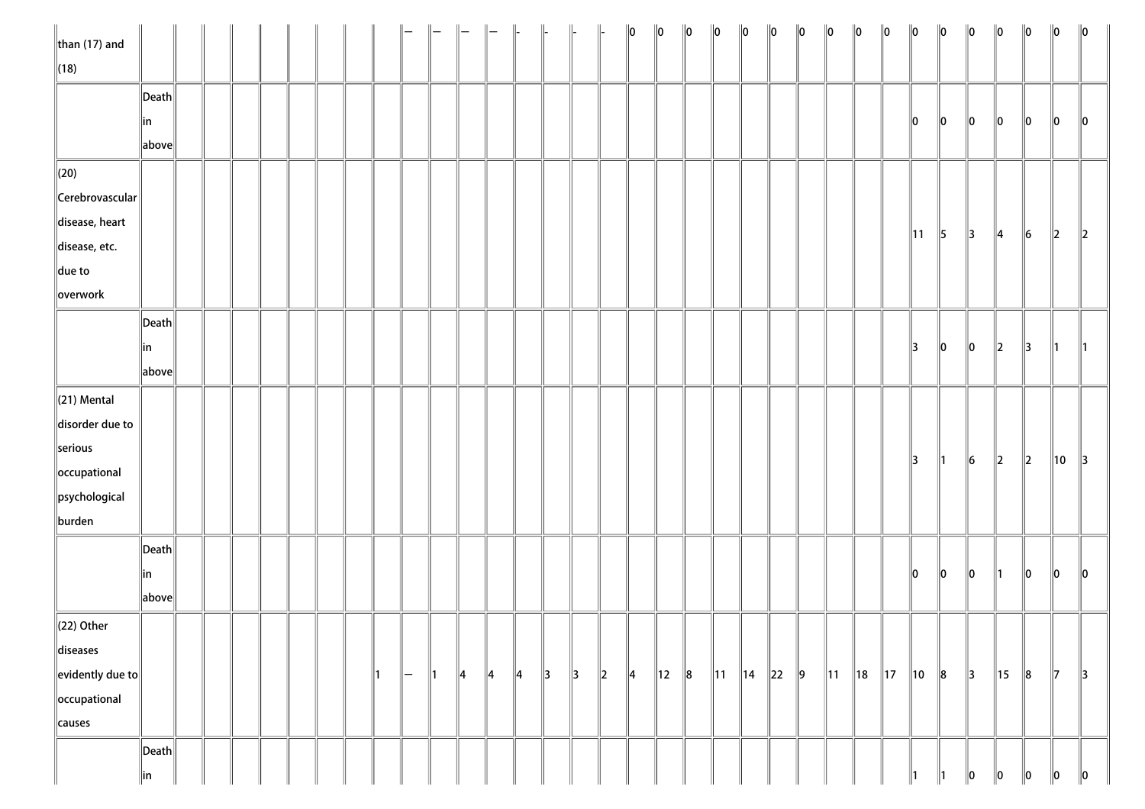| than $(17)$ and            |                                        |  |  |  |              |          |               |               |               |               |               |               |         | 10 | $\ 0\ $        | $\ 0\ $ | $\ 0\ $ | $\ 0\ $     | 10 | 10      | $\ 0\ $        | $\ 0\ $        | $\ 0\ $        | $\ 0\ $        | $\ 0\ $ | $\ 0\ $        | $\ 0\ $       | $\ 0\ $ | $\ 0\ $       | $\ 0\ $       |
|----------------------------|----------------------------------------|--|--|--|--------------|----------|---------------|---------------|---------------|---------------|---------------|---------------|---------|----|----------------|---------|---------|-------------|----|---------|----------------|----------------|----------------|----------------|---------|----------------|---------------|---------|---------------|---------------|
| $\sqrt{(18)}$              |                                        |  |  |  |              |          |               |               |               |               |               |               |         |    |                |         |         |             |    |         |                |                |                |                |         |                |               |         |               |               |
|                            | Death                                  |  |  |  |              |          |               |               |               |               |               |               |         |    |                |         |         |             |    |         |                |                |                |                |         |                |               |         |               |               |
|                            | ∥in                                    |  |  |  |              |          |               |               |               |               |               |               |         |    |                |         |         |             |    |         |                |                |                | 10             | 10      | 10             | 10            | 10      | 10            | 10            |
|                            | $\ $ above $\ $                        |  |  |  |              |          |               |               |               |               |               |               |         |    |                |         |         |             |    |         |                |                |                |                |         |                |               |         |               |               |
| $\ $ (20)                  |                                        |  |  |  |              |          |               |               |               |               |               |               |         |    |                |         |         |             |    |         |                |                |                |                |         |                |               |         |               |               |
| $\ $ Cerebrovascular $\ $  |                                        |  |  |  |              |          |               |               |               |               |               |               |         |    |                |         |         |             |    |         |                |                |                |                |         |                |               |         |               |               |
| disease, heart             |                                        |  |  |  |              |          |               |               |               |               |               |               |         |    |                |         |         |             |    |         |                |                |                |                |         | 3              |               | 6       |               |               |
| disease, etc.              |                                        |  |  |  |              |          |               |               |               |               |               |               |         |    |                |         |         |             |    |         |                |                |                | $\parallel$ 11 | 5       |                | 4             |         | $\parallel$ 2 | $\ 2\ $       |
| $\ $ due to                |                                        |  |  |  |              |          |               |               |               |               |               |               |         |    |                |         |         |             |    |         |                |                |                |                |         |                |               |         |               |               |
| overwork                   |                                        |  |  |  |              |          |               |               |               |               |               |               |         |    |                |         |         |             |    |         |                |                |                |                |         |                |               |         |               |               |
|                            | Death                                  |  |  |  |              |          |               |               |               |               |               |               |         |    |                |         |         |             |    |         |                |                |                |                |         |                |               |         |               |               |
|                            | ∥in                                    |  |  |  |              |          |               |               |               |               |               |               |         |    |                |         |         |             |    |         |                |                |                | 13             | $\ 0\ $ | 10             | 12            | 13      | 11.           | $\parallel$ 1 |
|                            | $\ $ above $\ $                        |  |  |  |              |          |               |               |               |               |               |               |         |    |                |         |         |             |    |         |                |                |                |                |         |                |               |         |               |               |
| $\ $ (21) Mental           |                                        |  |  |  |              |          |               |               |               |               |               |               |         |    |                |         |         |             |    |         |                |                |                |                |         |                |               |         |               |               |
| disorder due to            |                                        |  |  |  |              |          |               |               |               |               |               |               |         |    |                |         |         |             |    |         |                |                |                |                |         |                |               |         |               |               |
| serious                    |                                        |  |  |  |              |          |               |               |               |               |               |               |         |    |                |         |         |             |    |         |                |                |                |                |         |                |               |         |               |               |
| occupational               |                                        |  |  |  |              |          |               |               |               |               |               |               |         |    |                |         |         |             |    |         |                |                |                | 3              | ∥1      | $\vert\vert_6$ | $\parallel$ 2 | $\ 2\ $ | 10            | $\parallel$ 3 |
| psychological              |                                        |  |  |  |              |          |               |               |               |               |               |               |         |    |                |         |         |             |    |         |                |                |                |                |         |                |               |         |               |               |
| burden                     |                                        |  |  |  |              |          |               |               |               |               |               |               |         |    |                |         |         |             |    |         |                |                |                |                |         |                |               |         |               |               |
|                            | $\vert$ Death $\vert$                  |  |  |  |              |          |               |               |               |               |               |               |         |    |                |         |         |             |    |         |                |                |                |                |         |                |               |         |               |               |
|                            | ∥in                                    |  |  |  |              |          |               |               |               |               |               |               |         |    |                |         |         |             |    |         |                |                |                | 10             | $\ 0\ $ | 10             | 11.           | 10      | 10            | $\ 0\ $       |
|                            | $\ $ above $\ $                        |  |  |  |              |          |               |               |               |               |               |               |         |    |                |         |         |             |    |         |                |                |                |                |         |                |               |         |               |               |
| $\ $ (22) Other            |                                        |  |  |  |              |          |               |               |               |               |               |               |         |    |                |         |         |             |    |         |                |                |                |                |         |                |               |         |               |               |
| diseases                   |                                        |  |  |  |              |          |               |               |               |               |               |               |         |    |                |         |         |             |    |         |                |                |                |                |         |                |               |         |               |               |
| $\ $ evidently due to $\ $ |                                        |  |  |  | $\mathbf{1}$ | $\vdash$ | $\parallel$ 1 | $\parallel$ 4 | $\parallel$ 4 | $\parallel$ 4 | $\parallel$ 3 | $\parallel$ 3 | $\ 2\ $ | 4  | $\parallel$ 12 | $\ 8$   | 11      | $\ 14\ $ 22 |    | $\ 9\ $ | $\parallel$ 11 | $\parallel$ 18 | $\parallel$ 17 | $\parallel$ 10 | $\ 8$   | $\parallel$ 3  | 15            | $\ 8$   | $\parallel$ 7 | $\parallel$ 3 |
| occupational               |                                        |  |  |  |              |          |               |               |               |               |               |               |         |    |                |         |         |             |    |         |                |                |                |                |         |                |               |         |               |               |
| causes                     |                                        |  |  |  |              |          |               |               |               |               |               |               |         |    |                |         |         |             |    |         |                |                |                |                |         |                |               |         |               |               |
|                            | $\left\Vert \mathsf{Death}\right\Vert$ |  |  |  |              |          |               |               |               |               |               |               |         |    |                |         |         |             |    |         |                |                |                |                |         |                |               |         |               |               |
|                            | $\parallel$ in                         |  |  |  |              |          |               |               |               |               |               |               |         |    |                |         |         |             |    |         |                |                |                | 11             | 11      | $\ 0\ $        | $\vert$ 0     | $\ 0\ $ | $\ 0\ $       | $\ 0\ $       |